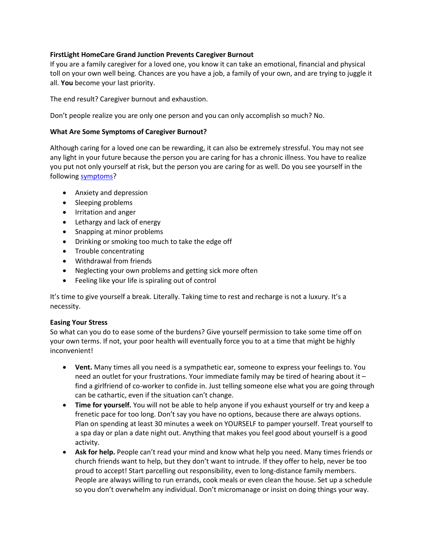## **FirstLight HomeCare Grand Junction Prevents Caregiver Burnout**

If you are a family caregiver for a loved one, you know it can take an emotional, financial and physical toll on your own well being. Chances are you have a job, a family of your own, and are trying to juggle it all. **You** become your last priority.

The end result? Caregiver burnout and exhaustion.

Don't people realize you are only one person and you can only accomplish so much? No.

## **What Are Some Symptoms of Caregiver Burnout?**

Although caring for a loved one can be rewarding, it can also be extremely stressful. You may not see any light in your future because the person you are caring for has a chronic illness. You have to realize you put not only yourself at risk, but the person you are caring for as well. Do you see yourself in the following [symptoms?](http://www.webmd.com/healthy-aging/caregiver-burnout)

- Anxiety and depression
- Sleeping problems
- Irritation and anger
- Lethargy and lack of energy
- Snapping at minor problems
- Drinking or smoking too much to take the edge off
- Trouble concentrating
- Withdrawal from friends
- Neglecting your own problems and getting sick more often
- Feeling like your life is spiraling out of control

It's time to give yourself a break. Literally. Taking time to rest and recharge is not a luxury. It's a necessity.

## **Easing Your Stress**

So what can you do to ease some of the burdens? Give yourself permission to take some time off on your own terms. If not, your poor health will eventually force you to at a time that might be highly inconvenient!

- **Vent.** Many times all you need is a sympathetic ear, someone to express your feelings to. You need an outlet for your frustrations. Your immediate family may be tired of hearing about it – find a girlfriend of co-worker to confide in. Just telling someone else what you are going through can be cathartic, even if the situation can't change.
- **Time for yourself.** You will not be able to help anyone if you exhaust yourself or try and keep a frenetic pace for too long. Don't say you have no options, because there are always options. Plan on spending at least 30 minutes a week on YOURSELF to pamper yourself. Treat yourself to a spa day or plan a date night out. Anything that makes you feel good about yourself is a good activity.
- **Ask for help.** People can't read your mind and know what help you need. Many times friends or church friends want to help, but they don't want to intrude. If they offer to help, never be too proud to accept! Start parcelling out responsibility, even to long-distance family members. People are always willing to run errands, cook meals or even clean the house. Set up a schedule so you don't overwhelm any individual. Don't micromanage or insist on doing things your way.